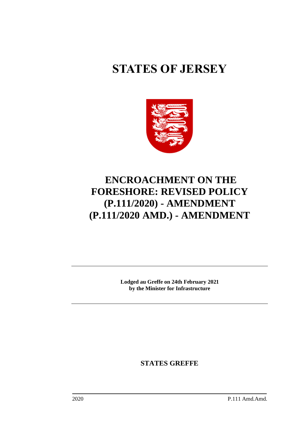# **STATES OF JERSEY**



# **ENCROACHMENT ON THE FORESHORE: REVISED POLICY (P.111/2020) - AMENDMENT (P.111/2020 AMD.) - AMENDMENT**

**Lodged au Greffe on 24th February 2021 by the Minister for Infrastructure**

**STATES GREFFE**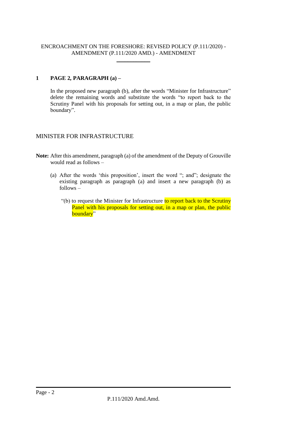#### ENCROACHMENT ON THE FORESHORE: REVISED POLICY (P.111/2020) - AMENDMENT (P.111/2020 AMD.) - AMENDMENT \_\_\_\_\_\_\_\_\_\_\_\_

### **1 PAGE 2, PARAGRAPH (a) –**

In the proposed new paragraph (b), after the words "Minister for Infrastructure" delete the remaining words and substitute the words "to report back to the Scrutiny Panel with his proposals for setting out, in a map or plan, the public boundary".

## MINISTER FOR INFRASTRUCTURE

**Note:** After this amendment, paragraph (a) of the amendment of the Deputy of Grouville would read as follows –

- (a) After the words 'this proposition', insert the word "; and"; designate the existing paragraph as paragraph (a) and insert a new paragraph (b) as  $follows -$ 
	- "(b) to request the Minister for Infrastructure to report back to the Scrutiny Panel with his proposals for setting out, in a map or plan, the public boundary"